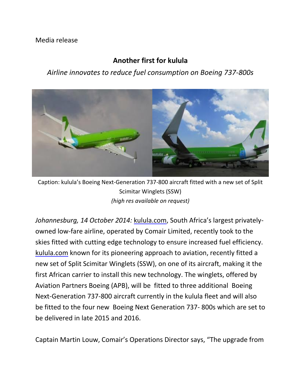## Media release

## **Another first for kulula**

## *Airline innovates to reduce fuel consumption on Boeing 737-800s*



Caption: kulula's Boeing Next-Generation 737-800 aircraft fitted with a new set of Split Scimitar Winglets (SSW) *(high res available on request)*

*Johannesburg, 14 October 2014:* [kulula.com](http://kulula.com/), South Africa's largest privatelyowned low-fare airline, operated by Comair Limited, recently took to the skies fitted with cutting edge technology to ensure increased fuel efficiency. [kulula.com](http://kulula.com/) known for its pioneering approach to aviation, recently fitted a new set of Split Scimitar Winglets (SSW), on one of its aircraft, making it the first African carrier to install this new technology. The winglets, offered by Aviation Partners Boeing (APB), will be fitted to three additional Boeing Next-Generation 737-800 aircraft currently in the kulula fleet and will also be fitted to the four new Boeing Next Generation 737- 800s which are set to be delivered in late 2015 and 2016.

Captain Martin Louw, Comair's Operations Director says, "The upgrade from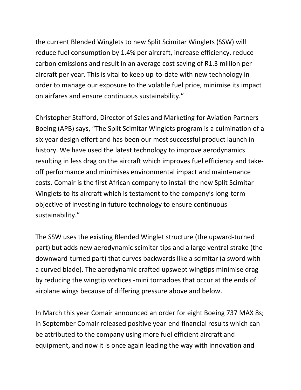the current Blended Winglets to new Split Scimitar Winglets (SSW) will reduce fuel consumption by 1.4% per aircraft, increase efficiency, reduce carbon emissions and result in an average cost saving of R1.3 million per aircraft per year. This is vital to keep up-to-date with new technology in order to manage our exposure to the volatile fuel price, minimise its impact on airfares and ensure continuous sustainability."

Christopher Stafford, Director of Sales and Marketing for Aviation Partners Boeing (APB) says, "The Split Scimitar Winglets program is a culmination of a six year design effort and has been our most successful product launch in history. We have used the latest technology to improve aerodynamics resulting in less drag on the aircraft which improves fuel efficiency and takeoff performance and minimises environmental impact and maintenance costs. Comair is the first African company to install the new Split Scimitar Winglets to its aircraft which is testament to the company's long-term objective of investing in future technology to ensure continuous sustainability."

The SSW uses the existing Blended Winglet structure (the upward-turned part) but adds new aerodynamic scimitar tips and a large ventral strake (the downward-turned part) that curves backwards like a scimitar (a sword with a curved blade). The aerodynamic crafted upswept wingtips minimise drag by reducing the wingtip vortices -mini tornadoes that occur at the ends of airplane wings because of differing pressure above and below.

In March this year Comair announced an order for eight Boeing 737 MAX 8s; in September Comair released positive year-end financial results which can be attributed to the company using more fuel efficient aircraft and equipment, and now it is once again leading the way with innovation and